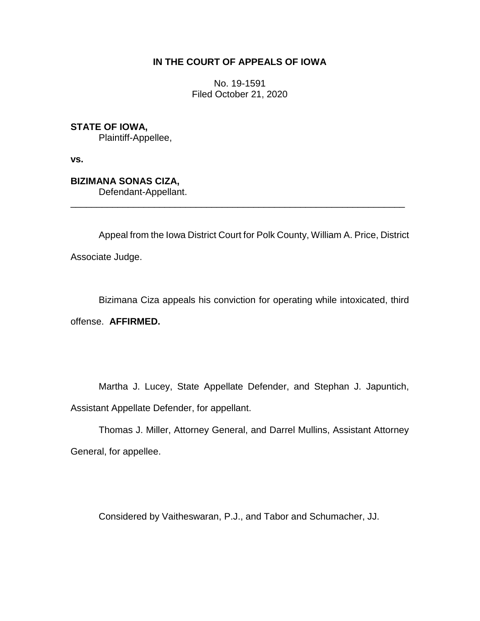## **IN THE COURT OF APPEALS OF IOWA**

No. 19-1591 Filed October 21, 2020

**STATE OF IOWA,** Plaintiff-Appellee,

**vs.**

**BIZIMANA SONAS CIZA,** Defendant-Appellant.

Appeal from the Iowa District Court for Polk County, William A. Price, District Associate Judge.

\_\_\_\_\_\_\_\_\_\_\_\_\_\_\_\_\_\_\_\_\_\_\_\_\_\_\_\_\_\_\_\_\_\_\_\_\_\_\_\_\_\_\_\_\_\_\_\_\_\_\_\_\_\_\_\_\_\_\_\_\_\_\_\_

Bizimana Ciza appeals his conviction for operating while intoxicated, third offense. **AFFIRMED.**

Martha J. Lucey, State Appellate Defender, and Stephan J. Japuntich, Assistant Appellate Defender, for appellant.

Thomas J. Miller, Attorney General, and Darrel Mullins, Assistant Attorney General, for appellee.

Considered by Vaitheswaran, P.J., and Tabor and Schumacher, JJ.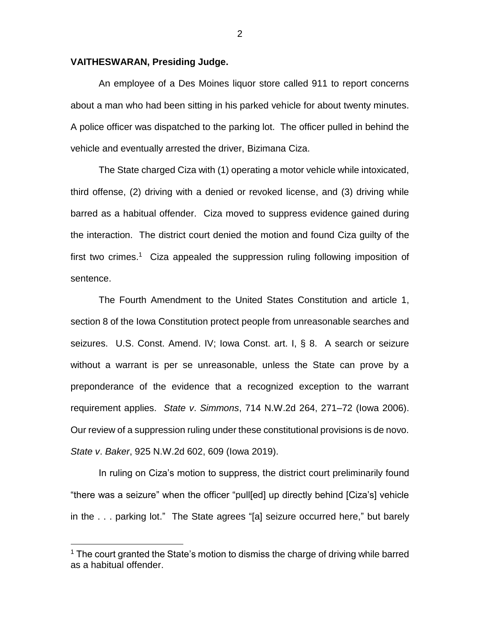## **VAITHESWARAN, Presiding Judge.**

An employee of a Des Moines liquor store called 911 to report concerns about a man who had been sitting in his parked vehicle for about twenty minutes. A police officer was dispatched to the parking lot. The officer pulled in behind the vehicle and eventually arrested the driver, Bizimana Ciza.

The State charged Ciza with (1) operating a motor vehicle while intoxicated, third offense, (2) driving with a denied or revoked license, and (3) driving while barred as a habitual offender. Ciza moved to suppress evidence gained during the interaction. The district court denied the motion and found Ciza guilty of the first two crimes.<sup>1</sup> Ciza appealed the suppression ruling following imposition of sentence.

The Fourth Amendment to the United States Constitution and article 1, section 8 of the Iowa Constitution protect people from unreasonable searches and seizures. U.S. Const. Amend. IV; Iowa Const. art. I, § 8. A search or seizure without a warrant is per se unreasonable, unless the State can prove by a preponderance of the evidence that a recognized exception to the warrant requirement applies. *State v*. *Simmons*, 714 N.W.2d 264, 271–72 (Iowa 2006). Our review of a suppression ruling under these constitutional provisions is de novo. *State v*. *Baker*, 925 N.W.2d 602, 609 (Iowa 2019).

In ruling on Ciza's motion to suppress, the district court preliminarily found "there was a seizure" when the officer "pull[ed] up directly behind [Ciza's] vehicle in the . . . parking lot." The State agrees "[a] seizure occurred here," but barely

 $\overline{a}$ 

 $1$  The court granted the State's motion to dismiss the charge of driving while barred as a habitual offender.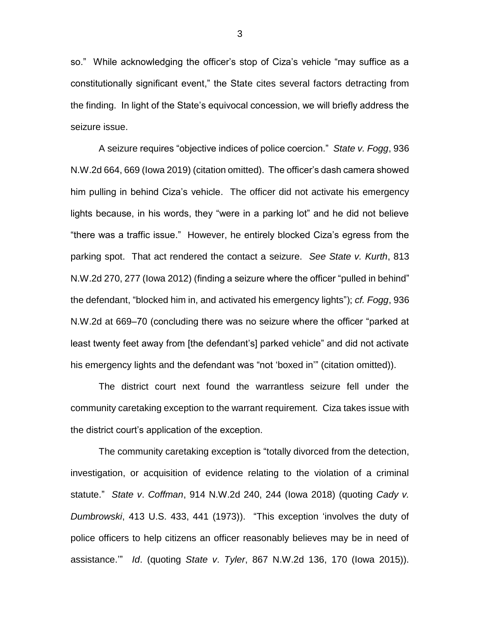so." While acknowledging the officer's stop of Ciza's vehicle "may suffice as a constitutionally significant event," the State cites several factors detracting from the finding. In light of the State's equivocal concession, we will briefly address the seizure issue.

A seizure requires "objective indices of police coercion." *State v. Fogg*, 936 N.W.2d 664, 669 (Iowa 2019) (citation omitted). The officer's dash camera showed him pulling in behind Ciza's vehicle. The officer did not activate his emergency lights because, in his words, they "were in a parking lot" and he did not believe "there was a traffic issue." However, he entirely blocked Ciza's egress from the parking spot. That act rendered the contact a seizure. *See State v. Kurth*, 813 N.W.2d 270, 277 (Iowa 2012) (finding a seizure where the officer "pulled in behind" the defendant, "blocked him in, and activated his emergency lights"); *cf. Fogg*, 936 N.W.2d at 669–70 (concluding there was no seizure where the officer "parked at least twenty feet away from [the defendant's] parked vehicle" and did not activate his emergency lights and the defendant was "not 'boxed in'" (citation omitted)).

The district court next found the warrantless seizure fell under the community caretaking exception to the warrant requirement. Ciza takes issue with the district court's application of the exception.

The community caretaking exception is "totally divorced from the detection, investigation, or acquisition of evidence relating to the violation of a criminal statute." *State v*. *Coffman*, 914 N.W.2d 240, 244 (Iowa 2018) (quoting *Cady v. Dumbrowski*, 413 U.S. 433, 441 (1973)). "This exception 'involves the duty of police officers to help citizens an officer reasonably believes may be in need of assistance.'" *Id*. (quoting *State v*. *Tyler*, 867 N.W.2d 136, 170 (Iowa 2015)).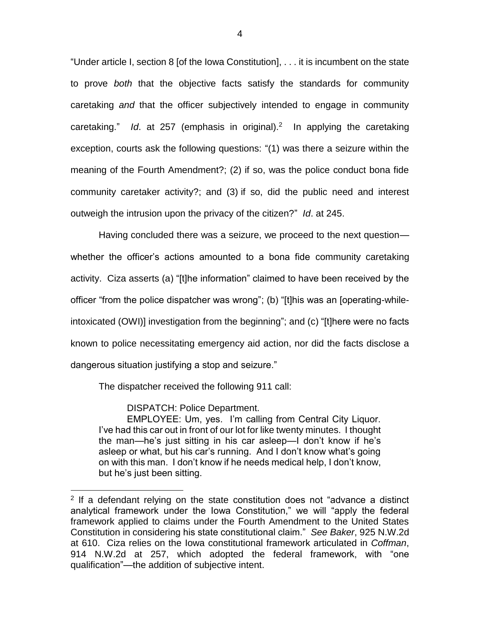"Under article I, section 8 [of the Iowa Constitution], . . . it is incumbent on the state to prove *both* that the objective facts satisfy the standards for community caretaking *and* that the officer subjectively intended to engage in community caretaking." Id. at 257 (emphasis in original).<sup>2</sup> In applying the caretaking exception, courts ask the following questions: "(1) was there a seizure within the meaning of the Fourth Amendment?; (2) if so, was the police conduct bona fide community caretaker activity?; and (3) if so, did the public need and interest outweigh the intrusion upon the privacy of the citizen?" *Id*. at 245.

Having concluded there was a seizure, we proceed to the next question whether the officer's actions amounted to a bona fide community caretaking activity. Ciza asserts (a) "[t]he information" claimed to have been received by the officer "from the police dispatcher was wrong"; (b) "[t]his was an [operating-whileintoxicated (OWI)] investigation from the beginning"; and (c) "[t]here were no facts known to police necessitating emergency aid action, nor did the facts disclose a dangerous situation justifying a stop and seizure."

The dispatcher received the following 911 call:

DISPATCH: Police Department.

 $\overline{a}$ 

EMPLOYEE: Um, yes. I'm calling from Central City Liquor. I've had this car out in front of our lot for like twenty minutes. I thought the man—he's just sitting in his car asleep—I don't know if he's asleep or what, but his car's running. And I don't know what's going on with this man. I don't know if he needs medical help, I don't know, but he's just been sitting.

 $2$  If a defendant relying on the state constitution does not "advance a distinct analytical framework under the Iowa Constitution," we will "apply the federal framework applied to claims under the Fourth Amendment to the United States Constitution in considering his state constitutional claim." *See Baker*, 925 N.W.2d at 610. Ciza relies on the Iowa constitutional framework articulated in *Coffman*, 914 N.W.2d at 257, which adopted the federal framework, with "one qualification"—the addition of subjective intent.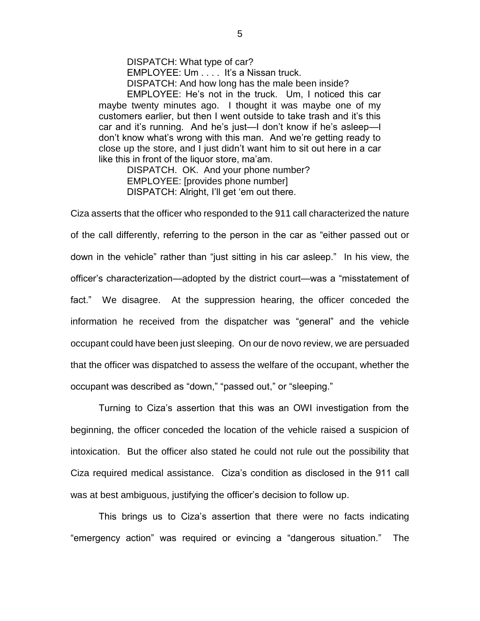DISPATCH: What type of car? EMPLOYEE: Um . . . . It's a Nissan truck. DISPATCH: And how long has the male been inside?

EMPLOYEE: He's not in the truck. Um, I noticed this car maybe twenty minutes ago. I thought it was maybe one of my customers earlier, but then I went outside to take trash and it's this car and it's running. And he's just—I don't know if he's asleep—I don't know what's wrong with this man. And we're getting ready to close up the store, and I just didn't want him to sit out here in a car like this in front of the liquor store, ma'am.

DISPATCH. OK. And your phone number? EMPLOYEE: [provides phone number] DISPATCH: Alright, I'll get 'em out there.

Ciza asserts that the officer who responded to the 911 call characterized the nature of the call differently, referring to the person in the car as "either passed out or down in the vehicle" rather than "just sitting in his car asleep." In his view, the officer's characterization—adopted by the district court—was a "misstatement of fact." We disagree. At the suppression hearing, the officer conceded the information he received from the dispatcher was "general" and the vehicle occupant could have been just sleeping. On our de novo review, we are persuaded that the officer was dispatched to assess the welfare of the occupant, whether the occupant was described as "down," "passed out," or "sleeping."

Turning to Ciza's assertion that this was an OWI investigation from the beginning, the officer conceded the location of the vehicle raised a suspicion of intoxication. But the officer also stated he could not rule out the possibility that Ciza required medical assistance. Ciza's condition as disclosed in the 911 call was at best ambiguous, justifying the officer's decision to follow up.

This brings us to Ciza's assertion that there were no facts indicating "emergency action" was required or evincing a "dangerous situation." The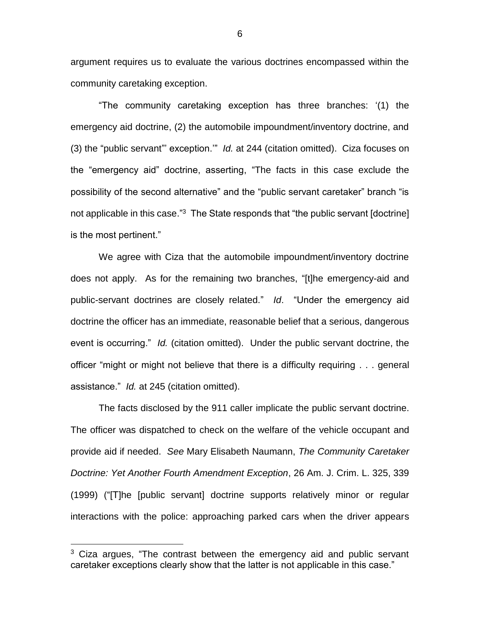argument requires us to evaluate the various doctrines encompassed within the community caretaking exception.

"The community caretaking exception has three branches: '(1) the emergency aid doctrine, (2) the automobile impoundment/inventory doctrine, and (3) the "public servant"' exception.'" *Id.* at 244 (citation omitted). Ciza focuses on the "emergency aid" doctrine, asserting, "The facts in this case exclude the possibility of the second alternative" and the "public servant caretaker" branch "is not applicable in this case."<sup>3</sup> The State responds that "the public servant [doctrine] is the most pertinent."

 We agree with Ciza that the automobile impoundment/inventory doctrine does not apply. As for the remaining two branches, "[t]he emergency-aid and public-servant doctrines are closely related." *Id*. "Under the emergency aid doctrine the officer has an immediate, reasonable belief that a serious, dangerous event is occurring." *Id.* (citation omitted). Under the public servant doctrine, the officer "might or might not believe that there is a difficulty requiring . . . general assistance." *Id.* at 245 (citation omitted).

The facts disclosed by the 911 caller implicate the public servant doctrine. The officer was dispatched to check on the welfare of the vehicle occupant and provide aid if needed. *See* Mary Elisabeth Naumann, *The Community Caretaker Doctrine: Yet Another Fourth Amendment Exception*, 26 Am. J. Crim. L. 325, 339 (1999) ("[T]he [public servant] doctrine supports relatively minor or regular interactions with the police: approaching parked cars when the driver appears

 $\overline{a}$ 

6

 $3$  Ciza argues, "The contrast between the emergency aid and public servant caretaker exceptions clearly show that the latter is not applicable in this case."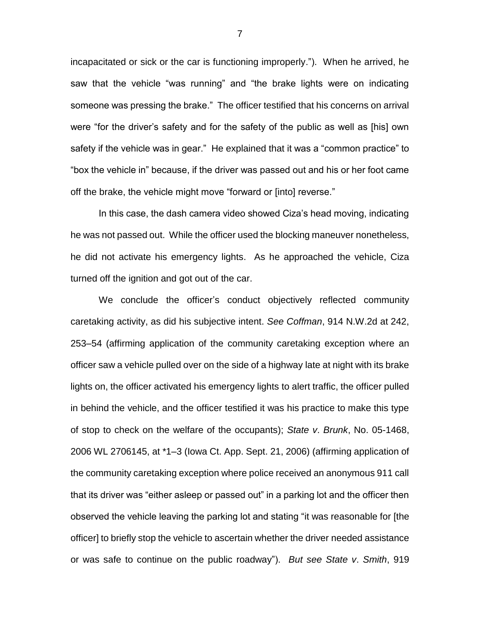incapacitated or sick or the car is functioning improperly."). When he arrived, he saw that the vehicle "was running" and "the brake lights were on indicating someone was pressing the brake." The officer testified that his concerns on arrival were "for the driver's safety and for the safety of the public as well as [his] own safety if the vehicle was in gear." He explained that it was a "common practice" to "box the vehicle in" because, if the driver was passed out and his or her foot came off the brake, the vehicle might move "forward or [into] reverse."

In this case, the dash camera video showed Ciza's head moving, indicating he was not passed out. While the officer used the blocking maneuver nonetheless, he did not activate his emergency lights. As he approached the vehicle, Ciza turned off the ignition and got out of the car.

We conclude the officer's conduct objectively reflected community caretaking activity, as did his subjective intent. *See Coffman*, 914 N.W.2d at 242, 253–54 (affirming application of the community caretaking exception where an officer saw a vehicle pulled over on the side of a highway late at night with its brake lights on, the officer activated his emergency lights to alert traffic, the officer pulled in behind the vehicle, and the officer testified it was his practice to make this type of stop to check on the welfare of the occupants); *State v*. *Brunk*, No. 05-1468, 2006 WL 2706145, at \*1–3 (Iowa Ct. App. Sept. 21, 2006) (affirming application of the community caretaking exception where police received an anonymous 911 call that its driver was "either asleep or passed out" in a parking lot and the officer then observed the vehicle leaving the parking lot and stating "it was reasonable for [the officer] to briefly stop the vehicle to ascertain whether the driver needed assistance or was safe to continue on the public roadway"). *But see State v*. *Smith*, 919

7